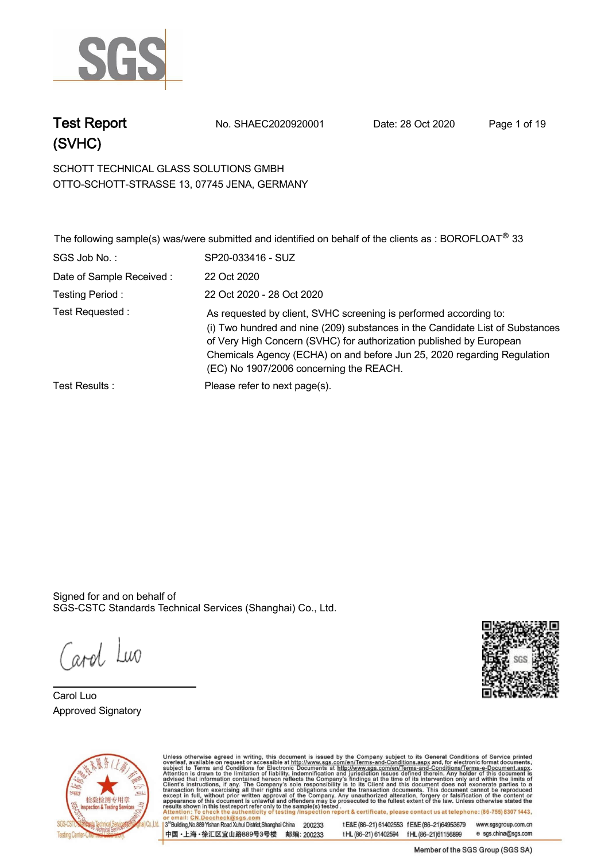

**Test Report. No. SHAEC2020920001 Date: 28 Oct 2020. Page 1 of 19.**

**SCHOTT TECHNICAL GLASS SOLUTIONS GMBH . OTTO-SCHOTT-STRASSE 13, 07745 JENA, GERMANY**

|                          | The following sample(s) was/were submitted and identified on behalf of the clients as : BOROFLOAT <sup>®</sup> 33                                                                                                                                                                                                                               |
|--------------------------|-------------------------------------------------------------------------------------------------------------------------------------------------------------------------------------------------------------------------------------------------------------------------------------------------------------------------------------------------|
| SGS Job No.:             | SP20-033416 - SUZ                                                                                                                                                                                                                                                                                                                               |
| Date of Sample Received: | 22 Oct 2020                                                                                                                                                                                                                                                                                                                                     |
| Testing Period:          | 22 Oct 2020 - 28 Oct 2020                                                                                                                                                                                                                                                                                                                       |
| Test Requested :         | As requested by client, SVHC screening is performed according to:<br>(i) Two hundred and nine (209) substances in the Candidate List of Substances<br>of Very High Concern (SVHC) for authorization published by European<br>Chemicals Agency (ECHA) on and before Jun 25, 2020 regarding Regulation<br>(EC) No 1907/2006 concerning the REACH. |
| Test Results :           | Please refer to next page(s).                                                                                                                                                                                                                                                                                                                   |

Signed for and on behalf of SGS-CSTC Standards Technical Services (Shanghai) Co., Ltd..

Carol Luo

**Carol Luo. Approved Signatory . . .**





Unless otherwise agreed in writing, this document is issued by the Company subject to its General Conditions of Service printed overleaf, available on request or accessible at http://www.sgs.com/en/Terms-and-Conditions.asp 3<sup>rd</sup> Building, No.889 Yishan Road Xuhui District, Shanghai China 200233 tE&E (86-21) 61402553 fE&E (86-21)64953679 www.sgsgroup.com.cn

中国·上海·徐汇区宜山路889号3号楼 邮编: 200233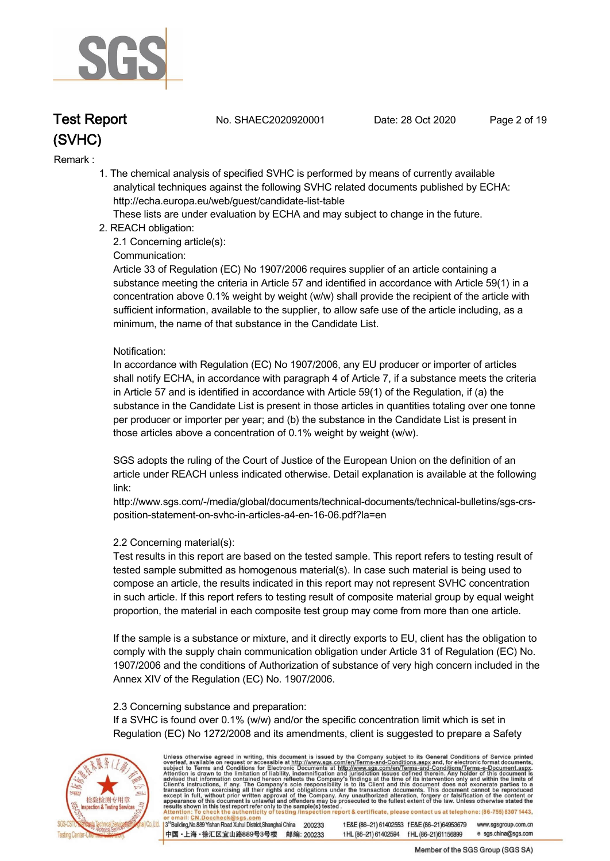

**Test Report. No. SHAEC2020920001 Date: 28 Oct 2020. Page 2 of 19.**

#### **Remark :.**

 **1. The chemical analysis of specified SVHC is performed by means of currently available analytical techniques against the following SVHC related documents published by ECHA: http://echa.europa.eu/web/guest/candidate-list-table** 

 **These lists are under evaluation by ECHA and may subject to change in the future.** 

 **2. REACH obligation:** 

 **2.1 Concerning article(s):** 

#### **Communication:**

 **Article 33 of Regulation (EC) No 1907/2006 requires supplier of an article containing a substance meeting the criteria in Article 57 and identified in accordance with Article 59(1) in a concentration above 0.1% weight by weight (w/w) shall provide the recipient of the article with sufficient information, available to the supplier, to allow safe use of the article including, as a minimum, the name of that substance in the Candidate List.** 

#### **Notification:**

 **In accordance with Regulation (EC) No 1907/2006, any EU producer or importer of articles shall notify ECHA, in accordance with paragraph 4 of Article 7, if a substance meets the criteria in Article 57 and is identified in accordance with Article 59(1) of the Regulation, if (a) the substance in the Candidate List is present in those articles in quantities totaling over one tonne per producer or importer per year; and (b) the substance in the Candidate List is present in those articles above a concentration of 0.1% weight by weight (w/w).** 

 **SGS adopts the ruling of the Court of Justice of the European Union on the definition of an article under REACH unless indicated otherwise. Detail explanation is available at the following link:** 

 **http://www.sgs.com/-/media/global/documents/technical-documents/technical-bulletins/sgs-crs position-statement-on-svhc-in-articles-a4-en-16-06.pdf?la=en** 

#### **2.2 Concerning material(s):**

 **Test results in this report are based on the tested sample. This report refers to testing result of tested sample submitted as homogenous material(s). In case such material is being used to compose an article, the results indicated in this report may not represent SVHC concentration in such article. If this report refers to testing result of composite material group by equal weight proportion, the material in each composite test group may come from more than one article.** 

 **If the sample is a substance or mixture, and it directly exports to EU, client has the obligation to comply with the supply chain communication obligation under Article 31 of Regulation (EC) No. 1907/2006 and the conditions of Authorization of substance of very high concern included in the Annex XIV of the Regulation (EC) No. 1907/2006.** 

#### **2.3 Concerning substance and preparation:**

 **If a SVHC is found over 0.1% (w/w) and/or the specific concentration limit which is set in Regulation (EC) No 1272/2008 and its amendments, client is suggested to prepare a Safety** 



Unless otherwise agreed in writing, this document is issued by the Company subject to its General Conditions of Service printed overleaf, available on request or accessible at http://www.sgs.com/en/Terms-and-Conditions.asp

3<sup>rd</sup>Building, No.889 Yishan Road Xuhui District, Shanghai China 200233 中国·上海·徐汇区宜山路889号3号楼 邮编: 200233 tE&E (86-21) 61402553 fE&E (86-21)64953679 www.sgsgroup.com.cn t HL (86-21) 61402594 f HL (86-21) 61156899 e sgs.china@sgs.com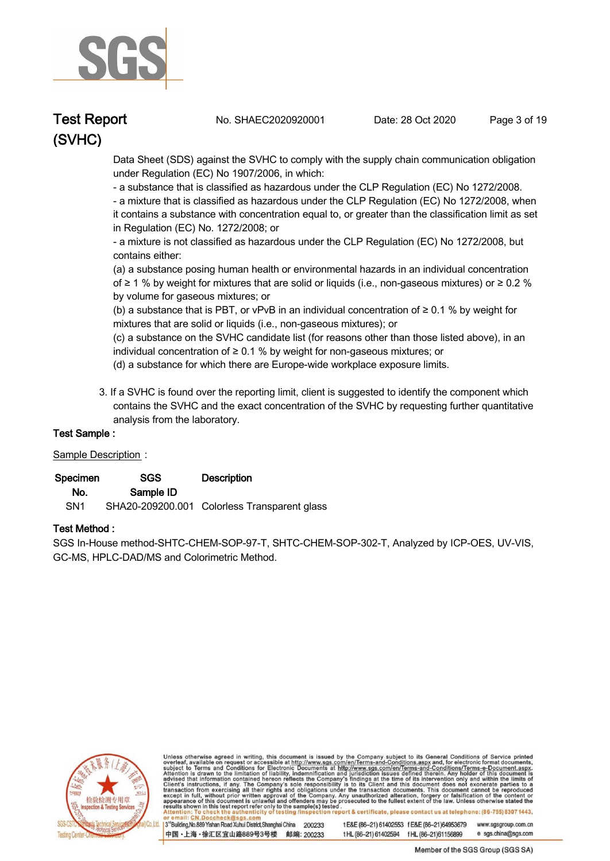

**Test Report. No. SHAEC2020920001 Date: 28 Oct 2020. Page 3 of 19.**

 **Data Sheet (SDS) against the SVHC to comply with the supply chain communication obligation under Regulation (EC) No 1907/2006, in which:** 

 **- a substance that is classified as hazardous under the CLP Regulation (EC) No 1272/2008.** 

 **- a mixture that is classified as hazardous under the CLP Regulation (EC) No 1272/2008, when it contains a substance with concentration equal to, or greater than the classification limit as set in Regulation (EC) No. 1272/2008; or** 

 **- a mixture is not classified as hazardous under the CLP Regulation (EC) No 1272/2008, but contains either:** 

 **(a) a substance posing human health or environmental hazards in an individual concentration of ≥ 1 % by weight for mixtures that are solid or liquids (i.e., non-gaseous mixtures) or ≥ 0.2 % by volume for gaseous mixtures; or** 

 **(b) a substance that is PBT, or vPvB in an individual concentration of ≥ 0.1 % by weight for mixtures that are solid or liquids (i.e., non-gaseous mixtures); or** 

 **(c) a substance on the SVHC candidate list (for reasons other than those listed above), in an individual concentration of ≥ 0.1 % by weight for non-gaseous mixtures; or** 

- **(d) a substance for which there are Europe-wide workplace exposure limits.**
- **3. If a SVHC is found over the reporting limit, client is suggested to identify the component which contains the SVHC and the exact concentration of the SVHC by requesting further quantitative analysis from the laboratory.**

#### **Test Sample :.**

#### **Sample Description :.**

| Specimen        | <b>SGS</b> | <b>Description</b>                           |
|-----------------|------------|----------------------------------------------|
| No.             | Sample ID  |                                              |
| SN <sub>1</sub> |            | SHA20-209200.001 Colorless Transparent glass |

#### **Test Method :.**

**SGS In-House method-SHTC-CHEM-SOP-97-T, SHTC-CHEM-SOP-302-T, Analyzed by ICP-OES, UV-VIS, GC-MS, HPLC-DAD/MS and Colorimetric Method. .**



Unless otherwise agreed in writing, this document is issued by the Company subject to its General Conditions of Service printed overleaf, available on request or accessible at http://www.sgs.com/en/Terms-and-Conditions.asp

3<sup>rd</sup>Building, No.889 Yishan Road Xuhui District, Shanghai China 200233 中国·上海·徐汇区宜山路889号3号楼 邮编: 200233 tE&E (86-21) 61402553 fE&E (86-21)64953679 www.sgsgroup.com.cn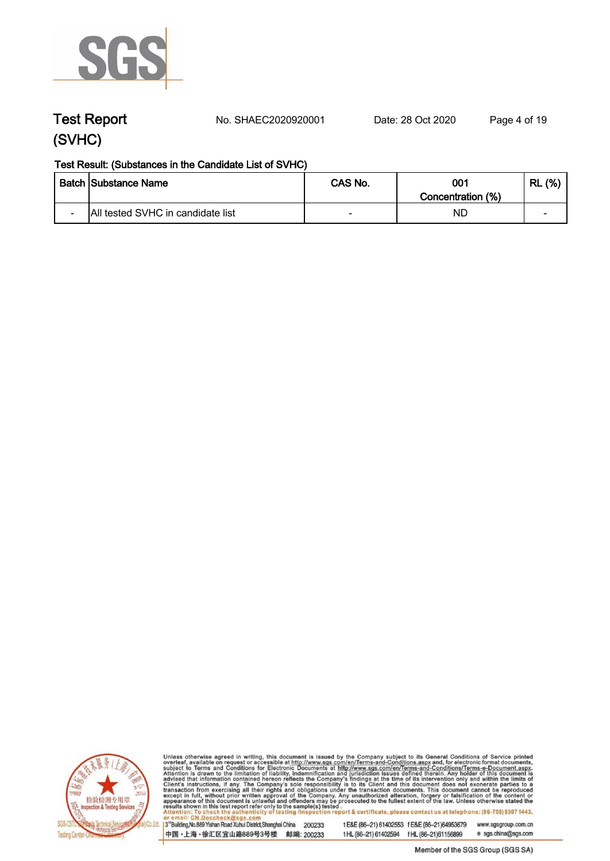

**Test Report. No. SHAEC2020920001 Date: 28 Oct 2020. Page 4 of 19.**

#### **Test Result: (Substances in the Candidate List of SVHC)**

|                          | <b>Batch Substance Name</b>       | CAS No. | 001               | (%)<br>RL |
|--------------------------|-----------------------------------|---------|-------------------|-----------|
|                          |                                   |         | Concentration (%) |           |
| $\overline{\phantom{0}}$ | All tested SVHC in candidate list | -       | NL                | -         |



Unless otherwise agreed in writing, this document is issued by the Company subject to its General Conditions of Service printed overleaf, available on request or accessible at http://www.sgs.com/en/Terms-and-Conditions.asp

3<sup>'</sup>Building, No.889 Yishan Road Xuhui District, Shanghai China 200233 中国·上海·徐汇区宜山路889号3号楼 邮编: 200233

tE&E (86-21) 61402553 fE&E (86-21)64953679 www.sgsgroup.com.cn

tHL (86-21) 61402594 fHL (86-21)61156899 e sgs.china@sgs.com

Member of the SGS Group (SGS SA)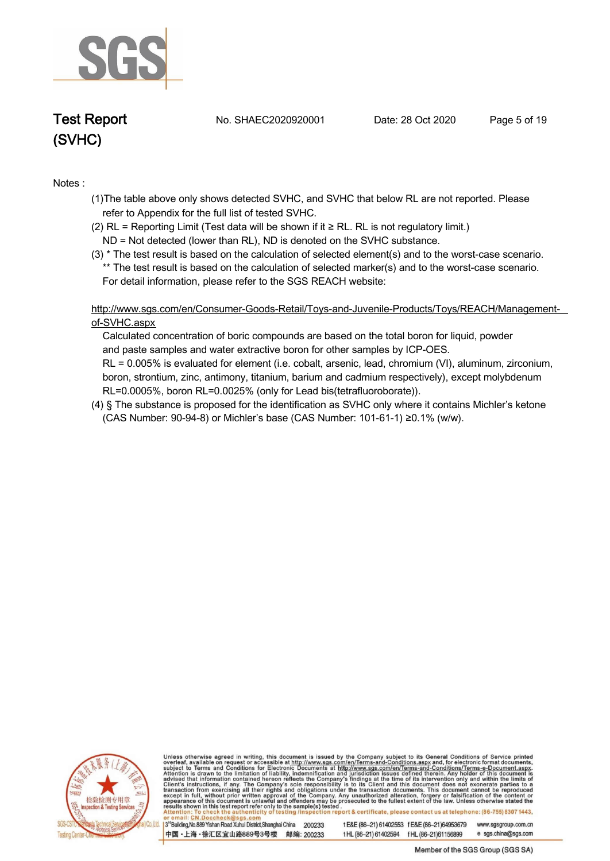

**Test Report. No. SHAEC2020920001 Date: 28 Oct 2020. Page 5 of 19.**

#### **Notes :.**

- **(1)The table above only shows detected SVHC, and SVHC that below RL are not reported. Please refer to Appendix for the full list of tested SVHC.**
- **(2) RL = Reporting Limit (Test data will be shown if it ≥ RL. RL is not regulatory limit.)**
- **ND = Not detected (lower than RL), ND is denoted on the SVHC substance.**
- **(3) \* The test result is based on the calculation of selected element(s) and to the worst-case scenario. \*\* The test result is based on the calculation of selected marker(s) and to the worst-case scenario. For detail information, please refer to the SGS REACH website:**

 **http://www.sgs.com/en/Consumer-Goods-Retail/Toys-and-Juvenile-Products/Toys/REACH/Managementof-SVHC.aspx**

 **Calculated concentration of boric compounds are based on the total boron for liquid, powder and paste samples and water extractive boron for other samples by ICP-OES. RL = 0.005% is evaluated for element (i.e. cobalt, arsenic, lead, chromium (VI), aluminum, zirconium, boron, strontium, zinc, antimony, titanium, barium and cadmium respectively), except molybdenum RL=0.0005%, boron RL=0.0025% (only for Lead bis(tetrafluoroborate)).**

**(4) § The substance is proposed for the identification as SVHC only where it contains Michler's ketone (CAS Number: 90-94-8) or Michler's base (CAS Number: 101-61-1) ≥0.1% (w/w). .**



Unless otherwise agreed in writing, this document is issued by the Company subject to its General Conditions of Service printed overleaf, available on request or accessible at http://www.sgs.com/en/Terms-and-Conditions.asp

3<sup>rd</sup>Building, No.889 Yishan Road Xuhui District, Shanghai China 200233 中国·上海·徐汇区宜山路889号3号楼 邮编: 200233

t E&E (86-21) 61402553 f E&E (86-21)64953679 www.sgsgroup.com.cn t HL (86-21) 61402594 f HL (86-21) 61156899 e sgs.china@sgs.com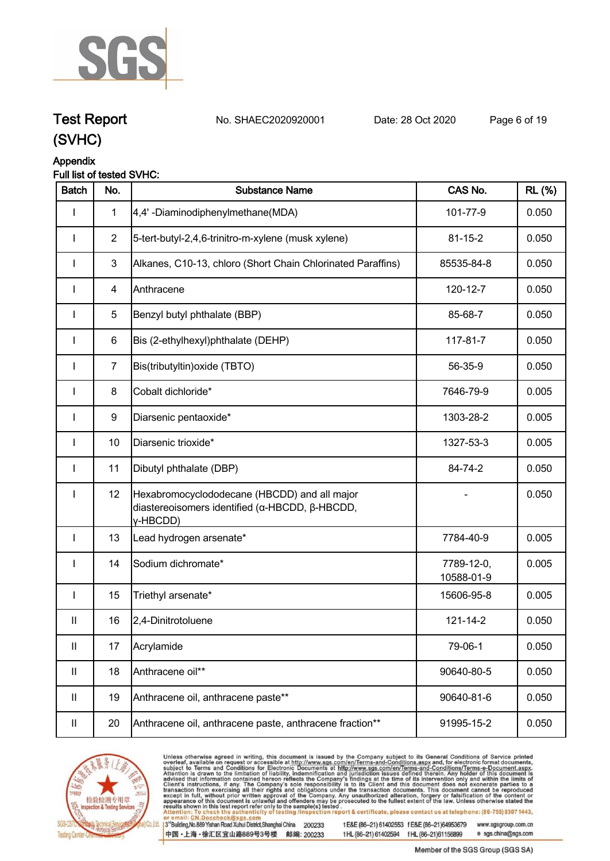

**Test Report. No. SHAEC2020920001 Date: 28 Oct 2020. Page 6 of 19. (SVHC)**

## **Appendix**

#### **Full list of tested SVHC:**

| <b>Batch</b>               | No.            | <b>Substance Name</b>                                                                                      | CAS No.                  | <b>RL</b> (%) |
|----------------------------|----------------|------------------------------------------------------------------------------------------------------------|--------------------------|---------------|
|                            | $\mathbf{1}$   | 4,4'-Diaminodiphenylmethane(MDA)                                                                           | 101-77-9                 | 0.050         |
| ı                          | $\overline{2}$ | 5-tert-butyl-2,4,6-trinitro-m-xylene (musk xylene)                                                         | $81 - 15 - 2$            | 0.050         |
|                            | $\mathbf{3}$   | Alkanes, C10-13, chloro (Short Chain Chlorinated Paraffins)                                                | 85535-84-8               | 0.050         |
| ı                          | $\overline{4}$ | Anthracene                                                                                                 | 120-12-7                 | 0.050         |
| I                          | 5              | Benzyl butyl phthalate (BBP)                                                                               | 85-68-7                  | 0.050         |
| I                          | $\,6$          | Bis (2-ethylhexyl)phthalate (DEHP)                                                                         | 117-81-7                 | 0.050         |
| <b>I</b>                   | $\overline{7}$ | Bis(tributyltin) oxide (TBTO)                                                                              | 56-35-9                  | 0.050         |
| <b>I</b>                   | 8              | Cobalt dichloride*                                                                                         | 7646-79-9                | 0.005         |
| I                          | 9              | Diarsenic pentaoxide*                                                                                      | 1303-28-2                | 0.005         |
| <b>I</b>                   | 10             | Diarsenic trioxide*                                                                                        | 1327-53-3                | 0.005         |
| I                          | 11             | Dibutyl phthalate (DBP)                                                                                    | 84-74-2                  | 0.050         |
| I                          | 12             | Hexabromocyclododecane (HBCDD) and all major<br>diastereoisomers identified (α-HBCDD, β-HBCDD,<br>y-HBCDD) |                          | 0.050         |
| $\mathbf{I}$               | 13             | Lead hydrogen arsenate*                                                                                    | 7784-40-9                | 0.005         |
| I                          | 14             | Sodium dichromate*                                                                                         | 7789-12-0,<br>10588-01-9 | 0.005         |
| I                          | 15             | Triethyl arsenate*                                                                                         | 15606-95-8               | 0.005         |
| $\mathbf{II}$              | 16             | 2,4-Dinitrotoluene                                                                                         | 121-14-2                 | 0.050         |
| $\ensuremath{\mathsf{II}}$ | 17             | Acrylamide                                                                                                 | 79-06-1                  | 0.050         |
| $\mathbf{II}$              | 18             | Anthracene oil**                                                                                           | 90640-80-5               | 0.050         |
| $\mathbf{II}$              | 19             | Anthracene oil, anthracene paste**                                                                         | 90640-81-6               | 0.050         |
| $\ensuremath{\mathsf{II}}$ | 20             | Anthracene oil, anthracene paste, anthracene fraction**                                                    | 91995-15-2               | 0.050         |



Unless otherwise agreed in writing, this document is issued by the Company subject to its General Conditions of Service printed overleaf, available on request or accessible at http://www.sgs.com/en/Terms-and-Conditions.asp

3<sup>te</sup>Building, No.889 Yishan Road Xuhui District, Shanghai China 200233 中国·上海·徐汇区宜山路889号3号楼 邮编: 200233

tE&E (86-21) 61402553 fE&E (86-21)64953679 www.sgsgroup.com.cn

tHL (86-21) 61402594 fHL (86-21)61156899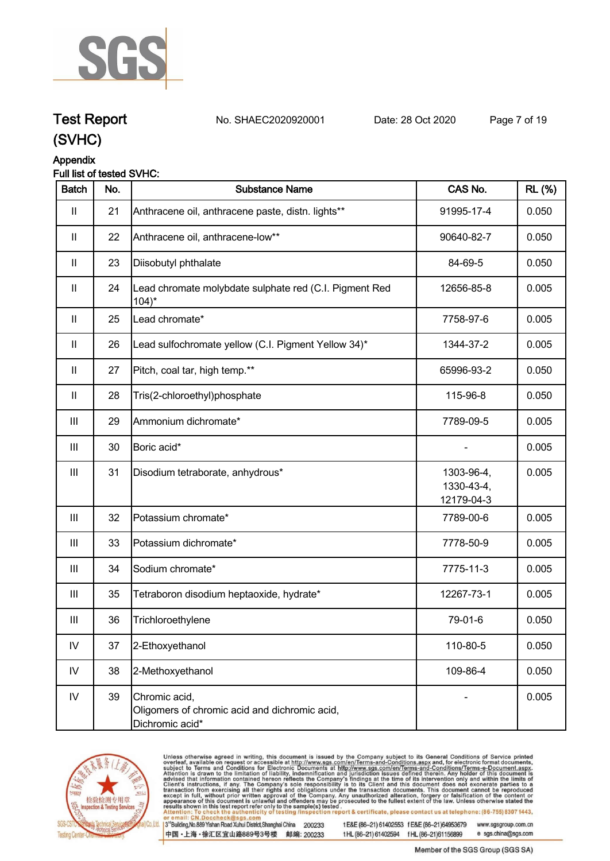

## **Test Report. No. SHAEC2020920001 Date: 28 Oct 2020. Page 7 of 19.**

**(SVHC)**

#### **Appendix**

#### **Full list of tested SVHC:**

| <b>Batch</b>       | No. | <b>Substance Name</b>                                                             | CAS No.                                | <b>RL</b> (%) |
|--------------------|-----|-----------------------------------------------------------------------------------|----------------------------------------|---------------|
| Ш                  | 21  | Anthracene oil, anthracene paste, distn. lights**                                 | 91995-17-4                             | 0.050         |
| $\mathbf{II}$      | 22  | Anthracene oil, anthracene-low**                                                  | 90640-82-7                             | 0.050         |
| $\mathbf{II}$      | 23  | Diisobutyl phthalate                                                              | 84-69-5                                | 0.050         |
| $\mathbf{II}$      | 24  | Lead chromate molybdate sulphate red (C.I. Pigment Red<br>$104$ <sup>*</sup>      | 12656-85-8                             | 0.005         |
| $\mathbf{II}$      | 25  | Lead chromate*                                                                    | 7758-97-6                              | 0.005         |
| $\mathbf{  }$      | 26  | Lead sulfochromate yellow (C.I. Pigment Yellow 34)*                               | 1344-37-2                              | 0.005         |
| $\mathbf{II}$      | 27  | Pitch, coal tar, high temp.**                                                     | 65996-93-2                             | 0.050         |
| $\mathbf{II}$      | 28  | Tris(2-chloroethyl)phosphate                                                      | 115-96-8                               | 0.050         |
| $\mathbf{III}$     | 29  | Ammonium dichromate*                                                              | 7789-09-5                              | 0.005         |
| $\mathbf{III}$     | 30  | Boric acid*                                                                       |                                        | 0.005         |
| $\mathop{\rm III}$ | 31  | Disodium tetraborate, anhydrous*                                                  | 1303-96-4,<br>1330-43-4,<br>12179-04-3 | 0.005         |
| $\mathbf{III}$     | 32  | Potassium chromate*                                                               | 7789-00-6                              | 0.005         |
| Ш                  | 33  | Potassium dichromate*                                                             | 7778-50-9                              | 0.005         |
| $\mathbf{III}$     | 34  | Sodium chromate*                                                                  | 7775-11-3                              | 0.005         |
| $\mathbf{III}$     | 35  | Tetraboron disodium heptaoxide, hydrate*                                          | 12267-73-1                             | 0.005         |
| Ш                  | 36  | Trichloroethylene                                                                 | 79-01-6                                | 0.050         |
| ${\sf IV}$         | 37  | 2-Ethoxyethanol                                                                   | 110-80-5                               | 0.050         |
| IV                 | 38  | 2-Methoxyethanol                                                                  | 109-86-4                               | 0.050         |
| IV                 | 39  | Chromic acid,<br>Oligomers of chromic acid and dichromic acid,<br>Dichromic acid* |                                        | 0.005         |



Unless otherwise agreed in writing, this document is issued by the Company subject to its General Conditions of Service printed overleaf, available on request or accessible at http://www.sgs.com/en/Terms-and-Conditions.asp

3<sup>te</sup>Building, No.889 Yishan Road Xuhui District, Shanghai China 200233 中国·上海·徐汇区宜山路889号3号楼 邮编: 200233

tE&E (86-21) 61402553 fE&E (86-21)64953679 www.sgsgroup.com.cn e sgs.china@sgs.com tHL (86-21) 61402594 fHL (86-21)61156899

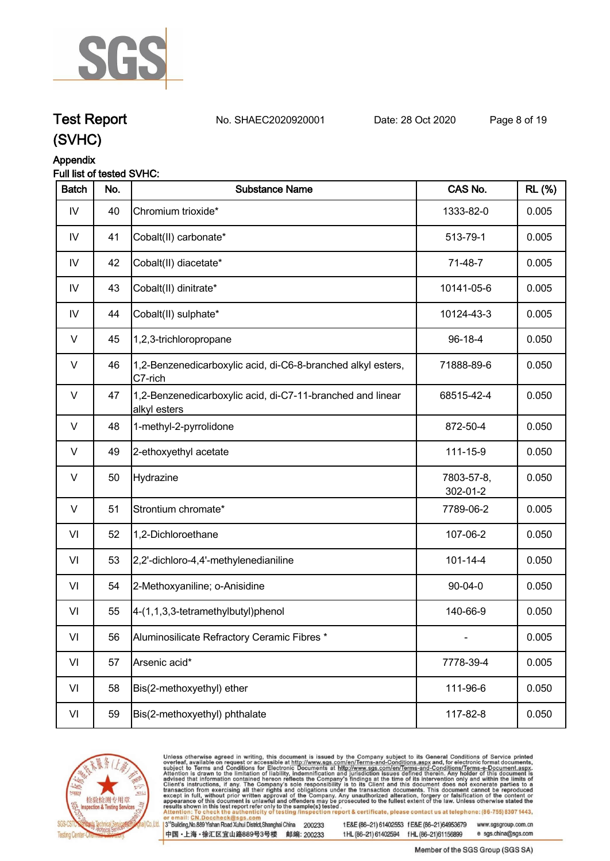

## **Test Report. No. SHAEC2020920001 Date: 28 Oct 2020. Page 8 of 19.**

**(SVHC)**

### **Appendix**

#### **Full list of tested SVHC:**

| <b>Batch</b>  | No. | <b>Substance Name</b>                                                      | CAS No.                | <b>RL</b> (%) |
|---------------|-----|----------------------------------------------------------------------------|------------------------|---------------|
| ${\sf IV}$    | 40  | Chromium trioxide*                                                         | 1333-82-0              | 0.005         |
| IV            | 41  | Cobalt(II) carbonate*                                                      | 513-79-1               | 0.005         |
| IV            | 42  | Cobalt(II) diacetate*                                                      | 71-48-7                | 0.005         |
| IV            | 43  | Cobalt(II) dinitrate*                                                      | 10141-05-6             | 0.005         |
| $\mathsf{IV}$ | 44  | Cobalt(II) sulphate*                                                       | 10124-43-3             | 0.005         |
| $\vee$        | 45  | 1,2,3-trichloropropane                                                     | 96-18-4                | 0.050         |
| $\sf V$       | 46  | 1,2-Benzenedicarboxylic acid, di-C6-8-branched alkyl esters,<br>C7-rich    | 71888-89-6             | 0.050         |
| $\vee$        | 47  | 1,2-Benzenedicarboxylic acid, di-C7-11-branched and linear<br>alkyl esters | 68515-42-4             | 0.050         |
| $\vee$        | 48  | 1-methyl-2-pyrrolidone                                                     | 872-50-4               | 0.050         |
| $\vee$        | 49  | 2-ethoxyethyl acetate                                                      | 111-15-9               | 0.050         |
| $\vee$        | 50  | Hydrazine                                                                  | 7803-57-8,<br>302-01-2 | 0.050         |
| V             | 51  | Strontium chromate*                                                        | 7789-06-2              | 0.005         |
| VI            | 52  | 1,2-Dichloroethane                                                         | 107-06-2               | 0.050         |
| VI            | 53  | 2,2'-dichloro-4,4'-methylenedianiline                                      | $101 - 14 - 4$         | 0.050         |
| VI            | 54  | 2-Methoxyaniline; o-Anisidine                                              | 90-04-0                | 0.050         |
| VI            | 55  | 4-(1,1,3,3-tetramethylbutyl)phenol                                         | 140-66-9               | 0.050         |
| VI            | 56  | Aluminosilicate Refractory Ceramic Fibres *                                |                        | 0.005         |
| VI            | 57  | Arsenic acid*                                                              | 7778-39-4              | 0.005         |
| VI            | 58  | Bis(2-methoxyethyl) ether                                                  | 111-96-6               | 0.050         |
| VI            | 59  | Bis(2-methoxyethyl) phthalate                                              | 117-82-8               | 0.050         |



Unless otherwise agreed in writing, this document is issued by the Company subject to its General Conditions of Service printed overleaf, available on request or accessible at http://www.sgs.com/en/Terms-and-Conditions.asp

3<sup>te</sup>Building, No.889 Yishan Road Xuhui District, Shanghai China 200233 中国·上海·徐汇区宜山路889号3号楼 邮编: 200233

tE&E (86-21) 61402553 fE&E (86-21)64953679 www.sgsgroup.com.cn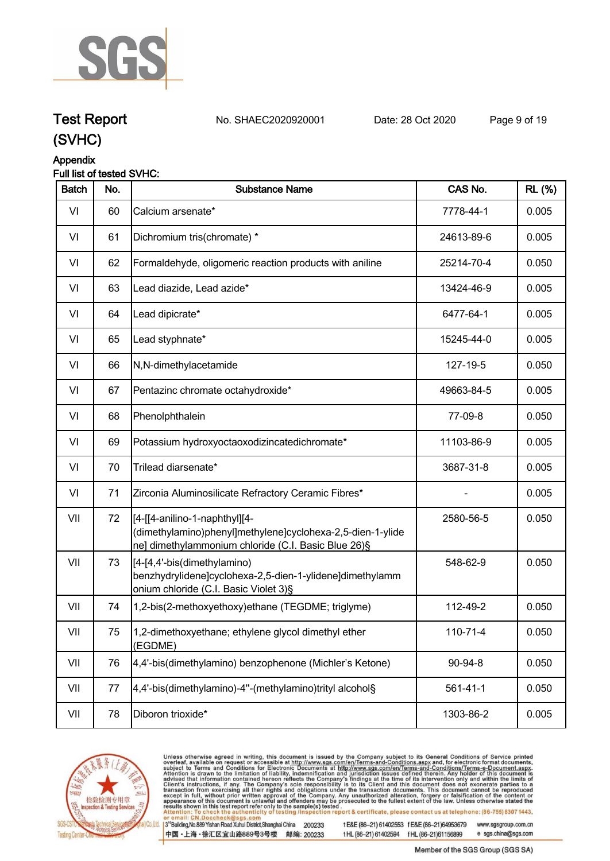

**Test Report. No. SHAEC2020920001 Date: 28 Oct 2020. Page 9 of 19.**

### **(SVHC)**

#### **Appendix**

#### **Full list of tested SVHC:**

| <b>Batch</b> | No. | <b>Substance Name</b>                                                                                                                               | CAS No.        | <b>RL</b> (%) |
|--------------|-----|-----------------------------------------------------------------------------------------------------------------------------------------------------|----------------|---------------|
| VI           | 60  | Calcium arsenate*                                                                                                                                   | 7778-44-1      | 0.005         |
| VI           | 61  | Dichromium tris(chromate) *                                                                                                                         | 24613-89-6     | 0.005         |
| VI           | 62  | Formaldehyde, oligomeric reaction products with aniline                                                                                             | 25214-70-4     | 0.050         |
| VI           | 63  | Lead diazide, Lead azide*                                                                                                                           | 13424-46-9     | 0.005         |
| VI           | 64  | Lead dipicrate*                                                                                                                                     | 6477-64-1      | 0.005         |
| VI           | 65  | Lead styphnate*                                                                                                                                     | 15245-44-0     | 0.005         |
| VI           | 66  | N,N-dimethylacetamide                                                                                                                               | 127-19-5       | 0.050         |
| VI           | 67  | Pentazinc chromate octahydroxide*                                                                                                                   | 49663-84-5     | 0.005         |
| VI           | 68  | Phenolphthalein                                                                                                                                     | 77-09-8        | 0.050         |
| VI           | 69  | Potassium hydroxyoctaoxodizincatedichromate*                                                                                                        | 11103-86-9     | 0.005         |
| VI           | 70  | Trilead diarsenate*                                                                                                                                 | 3687-31-8      | 0.005         |
| VI           | 71  | Zirconia Aluminosilicate Refractory Ceramic Fibres*                                                                                                 |                | 0.005         |
| VII          | 72  | [[4-[[4-anilino-1-naphthyl][4-<br>(dimethylamino)phenyl]methylene]cyclohexa-2,5-dien-1-ylide<br>ne] dimethylammonium chloride (C.I. Basic Blue 26)§ | 2580-56-5      | 0.050         |
| VII          | 73  | [4-[4,4'-bis(dimethylamino)<br>benzhydrylidene]cyclohexa-2,5-dien-1-ylidene]dimethylamm<br>onium chloride (C.I. Basic Violet 3)§                    | 548-62-9       | 0.050         |
| VII          | 74  | 1,2-bis(2-methoxyethoxy)ethane (TEGDME; triglyme)                                                                                                   | 112-49-2       | 0.050         |
| VII          | 75  | 1,2-dimethoxyethane; ethylene glycol dimethyl ether<br>(EGDME)                                                                                      | $110 - 71 - 4$ | 0.050         |
| VII          | 76  | 4,4'-bis(dimethylamino) benzophenone (Michler's Ketone)                                                                                             | 90-94-8        | 0.050         |
| VII          | 77  | 4,4'-bis(dimethylamino)-4"-(methylamino)trityl alcohol§                                                                                             | $561 - 41 - 1$ | 0.050         |
| VII          | 78  | Diboron trioxide*                                                                                                                                   | 1303-86-2      | 0.005         |



Unless otherwise agreed in writing, this document is issued by the Company subject to its General Conditions of Service printed overleaf, available on request or accessible at http://www.sgs.com/en/Terms-and-Conditions.asp

3<sup>te</sup>Building, No.889 Yishan Road Xuhui District, Shanghai China 200233 中国·上海·徐汇区宜山路889号3号楼 邮编: 200233

tE&E (86-21) 61402553 fE&E (86-21)64953679 www.sgsgroup.com.cn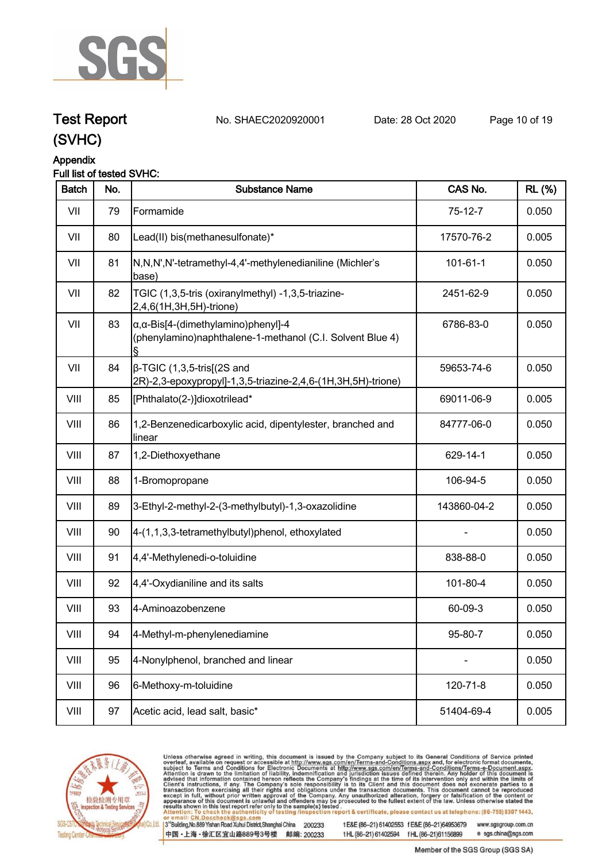

## **Test Report. No. SHAEC2020920001 Date: 28 Oct 2020. Page 10 of 19.**

**(SVHC)**

### **Appendix**

#### **Full list of tested SVHC:**

| <b>Batch</b> | No. | <b>Substance Name</b>                                                                                            | CAS No.        | <b>RL</b> (%) |
|--------------|-----|------------------------------------------------------------------------------------------------------------------|----------------|---------------|
| VII          | 79  | Formamide                                                                                                        | $75-12-7$      | 0.050         |
| VII          | 80  | Lead(II) bis(methanesulfonate)*                                                                                  | 17570-76-2     | 0.005         |
| VII          | 81  | N,N,N',N'-tetramethyl-4,4'-methylenedianiline (Michler's<br>base)                                                | $101 - 61 - 1$ | 0.050         |
| VII          | 82  | TGIC (1,3,5-tris (oxiranylmethyl) -1,3,5-triazine-<br>2,4,6(1H,3H,5H)-trione)                                    | 2451-62-9      | 0.050         |
| VII          | 83  | $\alpha$ , $\alpha$ -Bis[4-(dimethylamino)phenyl]-4<br>(phenylamino)naphthalene-1-methanol (C.I. Solvent Blue 4) | 6786-83-0      | 0.050         |
| VII          | 84  | $\beta$ -TGIC (1,3,5-tris[(2S and<br>2R)-2,3-epoxypropyl]-1,3,5-triazine-2,4,6-(1H,3H,5H)-trione)                | 59653-74-6     | 0.050         |
| VIII         | 85  | [Phthalato(2-)]dioxotrilead*                                                                                     | 69011-06-9     | 0.005         |
| VIII         | 86  | 1,2-Benzenedicarboxylic acid, dipentylester, branched and<br>linear                                              | 84777-06-0     | 0.050         |
| VIII         | 87  | 1,2-Diethoxyethane                                                                                               | 629-14-1       | 0.050         |
| VIII         | 88  | 1-Bromopropane                                                                                                   | 106-94-5       | 0.050         |
| VIII         | 89  | 3-Ethyl-2-methyl-2-(3-methylbutyl)-1,3-oxazolidine                                                               | 143860-04-2    | 0.050         |
| VIII         | 90  | 4-(1,1,3,3-tetramethylbutyl)phenol, ethoxylated                                                                  |                | 0.050         |
| VIII         | 91  | 4,4'-Methylenedi-o-toluidine                                                                                     | 838-88-0       | 0.050         |
| VIII         | 92  | 4,4'-Oxydianiline and its salts                                                                                  | 101-80-4       | 0.050         |
| VIII         | 93  | 4-Aminoazobenzene                                                                                                | 60-09-3        | 0.050         |
| VIII         | 94  | 4-Methyl-m-phenylenediamine                                                                                      | 95-80-7        | 0.050         |
| VIII         | 95  | 4-Nonylphenol, branched and linear                                                                               |                | 0.050         |
| VIII         | 96  | 6-Methoxy-m-toluidine                                                                                            | 120-71-8       | 0.050         |
| VIII         | 97  | Acetic acid, lead salt, basic*                                                                                   | 51404-69-4     | 0.005         |



Unless otherwise agreed in writing, this document is issued by the Company subject to its General Conditions of Service printed overleaf, available on request or accessible at http://www.sgs.com/en/Terms-and-Conditions.asp

3<sup>te</sup>Building, No.889 Yishan Road Xuhui District, Shanghai China 200233 中国·上海·徐汇区宜山路889号3号楼 邮编: 200233

tE&E (86-21) 61402553 fE&E (86-21)64953679 www.sgsgroup.com.cn

tHL (86-21) 61402594 fHL (86-21)61156899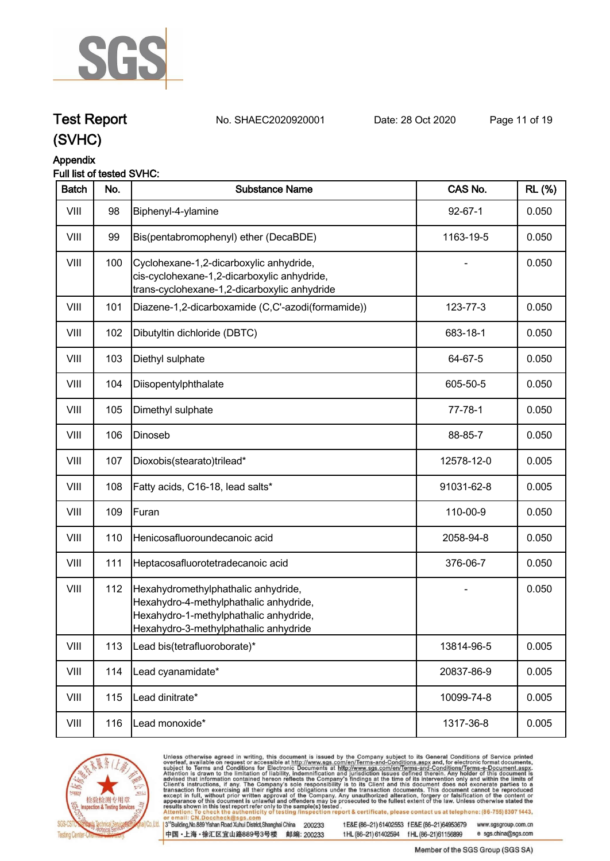

**Test Report. No. SHAEC2020920001 Date: 28 Oct 2020. Page 11 of 19.**

### **(SVHC)**

#### **Appendix**

#### **Full list of tested SVHC:**

| <b>Batch</b> | No. | <b>Substance Name</b>                                                                                                                                            | CAS No.       | <b>RL</b> (%) |
|--------------|-----|------------------------------------------------------------------------------------------------------------------------------------------------------------------|---------------|---------------|
| VIII         | 98  | Biphenyl-4-ylamine                                                                                                                                               | $92 - 67 - 1$ | 0.050         |
| VIII         | 99  | Bis(pentabromophenyl) ether (DecaBDE)                                                                                                                            | 1163-19-5     | 0.050         |
| VIII         | 100 | Cyclohexane-1,2-dicarboxylic anhydride,<br>cis-cyclohexane-1,2-dicarboxylic anhydride,<br>trans-cyclohexane-1,2-dicarboxylic anhydride                           |               | 0.050         |
| VIII         | 101 | Diazene-1,2-dicarboxamide (C,C'-azodi(formamide))                                                                                                                | 123-77-3      | 0.050         |
| VIII         | 102 | Dibutyltin dichloride (DBTC)                                                                                                                                     | 683-18-1      | 0.050         |
| VIII         | 103 | Diethyl sulphate                                                                                                                                                 | 64-67-5       | 0.050         |
| VIII         | 104 | Diisopentylphthalate                                                                                                                                             | 605-50-5      | 0.050         |
| VIII         | 105 | Dimethyl sulphate                                                                                                                                                | $77 - 78 - 1$ | 0.050         |
| VIII         | 106 | Dinoseb                                                                                                                                                          | 88-85-7       | 0.050         |
| VIII         | 107 | Dioxobis(stearato)trilead*                                                                                                                                       | 12578-12-0    | 0.005         |
| VIII         | 108 | Fatty acids, C16-18, lead salts*                                                                                                                                 | 91031-62-8    | 0.005         |
| VIII         | 109 | Furan                                                                                                                                                            | 110-00-9      | 0.050         |
| VIII         | 110 | Henicosafluoroundecanoic acid                                                                                                                                    | 2058-94-8     | 0.050         |
| VIII         | 111 | Heptacosafluorotetradecanoic acid                                                                                                                                | 376-06-7      | 0.050         |
| VIII         | 112 | Hexahydromethylphathalic anhydride,<br>Hexahydro-4-methylphathalic anhydride,<br>Hexahydro-1-methylphathalic anhydride,<br>Hexahydro-3-methylphathalic anhydride |               | 0.050         |
| VIII         | 113 | Lead bis(tetrafluoroborate)*                                                                                                                                     | 13814-96-5    | 0.005         |
| VIII         | 114 | Lead cyanamidate*                                                                                                                                                | 20837-86-9    | 0.005         |
| VIII         | 115 | Lead dinitrate*                                                                                                                                                  | 10099-74-8    | 0.005         |
| VIII         | 116 | Lead monoxide*                                                                                                                                                   | 1317-36-8     | 0.005         |



Unless otherwise agreed in writing, this document is issued by the Company subject to its General Conditions of Service printed overleaf, available on request or accessible at http://www.sgs.com/en/Terms-and-Conditions.asp

3<sup>te</sup>Building, No.889 Yishan Road Xuhui District, Shanghai China 200233 中国·上海·徐汇区宜山路889号3号楼 邮编: 200233

tE&E (86-21) 61402553 fE&E (86-21)64953679 www.sgsgroup.com.cn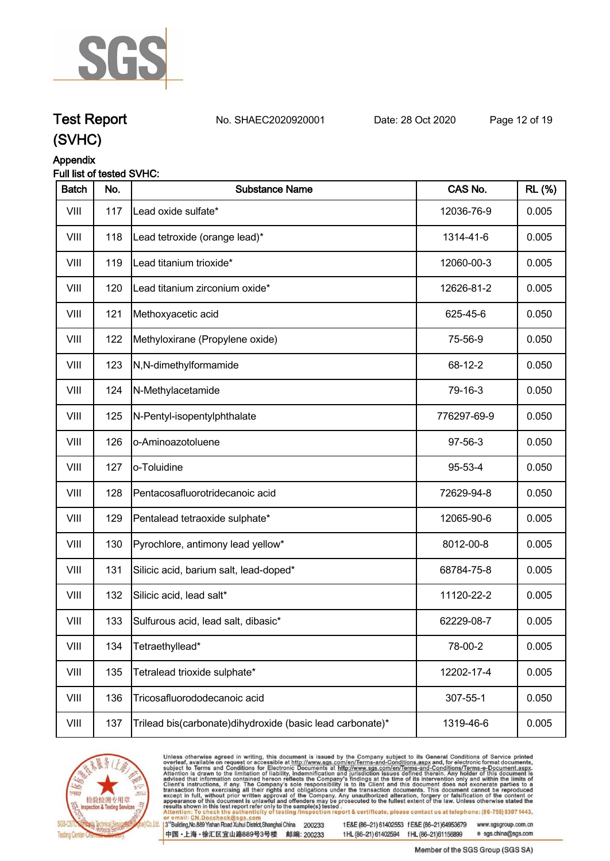

**Test Report. No. SHAEC2020920001 Date: 28 Oct 2020. Page 12 of 19.**

### **(SVHC)**

#### **Appendix**

#### **Full list of tested SVHC:**

| <b>Batch</b> | No. | <b>Substance Name</b>                                       | CAS No.     | <b>RL</b> (%) |
|--------------|-----|-------------------------------------------------------------|-------------|---------------|
| VIII         | 117 | Lead oxide sulfate*                                         | 12036-76-9  | 0.005         |
| VIII         | 118 | Lead tetroxide (orange lead)*                               | 1314-41-6   | 0.005         |
| VIII         | 119 | Lead titanium trioxide*                                     | 12060-00-3  | 0.005         |
| VIII         | 120 | Lead titanium zirconium oxide*                              | 12626-81-2  | 0.005         |
| VIII         | 121 | Methoxyacetic acid                                          | 625-45-6    | 0.050         |
| VIII         | 122 | Methyloxirane (Propylene oxide)                             | 75-56-9     | 0.050         |
| VIII         | 123 | N,N-dimethylformamide                                       | 68-12-2     | 0.050         |
| VIII         | 124 | N-Methylacetamide                                           | 79-16-3     | 0.050         |
| VIII         | 125 | N-Pentyl-isopentylphthalate                                 | 776297-69-9 | 0.050         |
| VIII         | 126 | o-Aminoazotoluene                                           | 97-56-3     | 0.050         |
| VIII         | 127 | o-Toluidine                                                 | 95-53-4     | 0.050         |
| VIII         | 128 | Pentacosafluorotridecanoic acid                             | 72629-94-8  | 0.050         |
| VIII         | 129 | Pentalead tetraoxide sulphate*                              | 12065-90-6  | 0.005         |
| VIII         | 130 | Pyrochlore, antimony lead yellow*                           | 8012-00-8   | 0.005         |
| VIII         | 131 | Silicic acid, barium salt, lead-doped*                      | 68784-75-8  | 0.005         |
| VIII         | 132 | Silicic acid, lead salt*                                    | 11120-22-2  | 0.005         |
| VIII         | 133 | Sulfurous acid, lead salt, dibasic*                         | 62229-08-7  | 0.005         |
| VIII         | 134 | Tetraethyllead*                                             | 78-00-2     | 0.005         |
| VIII         | 135 | Tetralead trioxide sulphate*                                | 12202-17-4  | 0.005         |
| VIII         | 136 | Tricosafluorododecanoic acid                                | 307-55-1    | 0.050         |
| VIII         | 137 | Trilead bis(carbonate) dihy droxide (basic lead carbonate)* | 1319-46-6   | 0.005         |



Unless otherwise agreed in writing, this document is issued by the Company subject to its General Conditions of Service printed overleaf, available on request or accessible at http://www.sgs.com/en/Terms-and-Conditions.asp

3<sup>te</sup>Building, No.889 Yishan Road Xuhui District, Shanghai China 200233 中国·上海·徐汇区宜山路889号3号楼 邮编: 200233

tE&E (86-21) 61402553 fE&E (86-21)64953679 www.sgsgroup.com.cn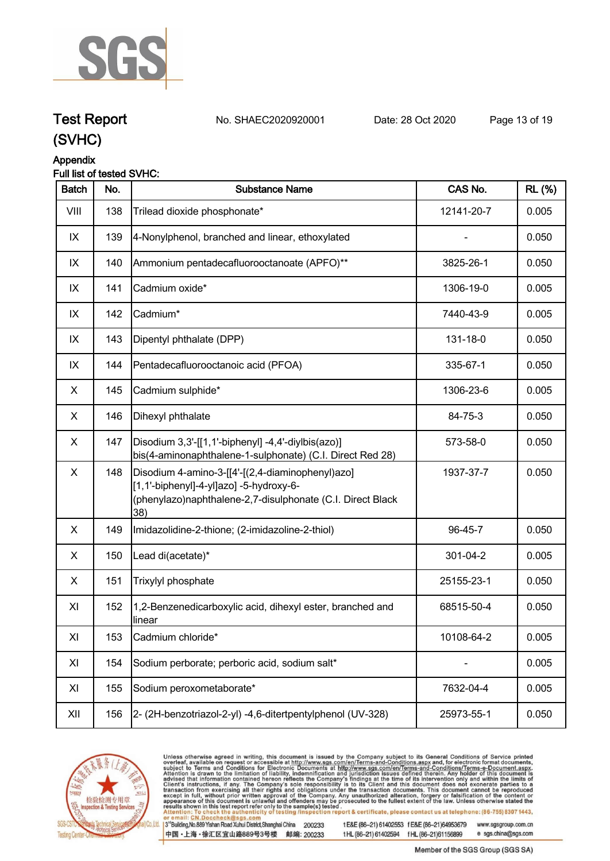

**Test Report. No. SHAEC2020920001 Date: 28 Oct 2020. Page 13 of 19.**

### **(SVHC)**

#### **Appendix**

#### **Full list of tested SVHC:**

| <b>Batch</b> | No. | <b>Substance Name</b>                                                                                                                                            | CAS No.    | <b>RL</b> (%) |
|--------------|-----|------------------------------------------------------------------------------------------------------------------------------------------------------------------|------------|---------------|
| VIII         | 138 | Trilead dioxide phosphonate*                                                                                                                                     | 12141-20-7 | 0.005         |
| IX           | 139 | 4-Nonylphenol, branched and linear, ethoxylated                                                                                                                  |            | 0.050         |
| IX           | 140 | Ammonium pentadecafluorooctanoate (APFO)**                                                                                                                       | 3825-26-1  | 0.050         |
| IX           | 141 | Cadmium oxide*                                                                                                                                                   | 1306-19-0  | 0.005         |
| IX           | 142 | Cadmium*                                                                                                                                                         | 7440-43-9  | 0.005         |
| IX           | 143 | Dipentyl phthalate (DPP)                                                                                                                                         | 131-18-0   | 0.050         |
| IX           | 144 | Pentadecafluorooctanoic acid (PFOA)                                                                                                                              | 335-67-1   | 0.050         |
| X            | 145 | Cadmium sulphide*                                                                                                                                                | 1306-23-6  | 0.005         |
| X            | 146 | Dihexyl phthalate                                                                                                                                                | 84-75-3    | 0.050         |
| X            | 147 | Disodium 3,3'-[[1,1'-biphenyl] -4,4'-diylbis(azo)]<br>bis(4-aminonaphthalene-1-sulphonate) (C.I. Direct Red 28)                                                  | 573-58-0   | 0.050         |
| X            | 148 | Disodium 4-amino-3-[[4'-[(2,4-diaminophenyl)azo]<br>[1,1'-biphenyl]-4-yl]azo] -5-hydroxy-6-<br>(phenylazo)naphthalene-2,7-disulphonate (C.I. Direct Black<br>38) | 1937-37-7  | 0.050         |
| X            | 149 | Imidazolidine-2-thione; (2-imidazoline-2-thiol)                                                                                                                  | 96-45-7    | 0.050         |
| X            | 150 | Lead di(acetate)*                                                                                                                                                | 301-04-2   | 0.005         |
| X            | 151 | Trixylyl phosphate                                                                                                                                               | 25155-23-1 | 0.050         |
| XI           | 152 | 1,2-Benzenedicarboxylic acid, dihexyl ester, branched and<br>llinear                                                                                             | 68515-50-4 | 0.050         |
| XI           | 153 | Cadmium chloride*                                                                                                                                                | 10108-64-2 | 0.005         |
| XI           | 154 | Sodium perborate; perboric acid, sodium salt*                                                                                                                    |            | 0.005         |
| XI           | 155 | Sodium peroxometaborate*                                                                                                                                         | 7632-04-4  | 0.005         |
| XII          | 156 | 2- (2H-benzotriazol-2-yl) -4,6-ditertpentylphenol (UV-328)                                                                                                       | 25973-55-1 | 0.050         |



Unless otherwise agreed in writing, this document is issued by the Company subject to its General Conditions of Service printed overleaf, available on request or accessible at http://www.sgs.com/en/Terms-and-Conditions.asp

3<sup>te</sup>Building, No.889 Yishan Road Xuhui District, Shanghai China 200233 中国·上海·徐汇区宜山路889号3号楼 邮编: 200233

tE&E (86-21) 61402553 fE&E (86-21)64953679 www.sgsgroup.com.cn

tHL (86-21) 61402594 fHL (86-21)61156899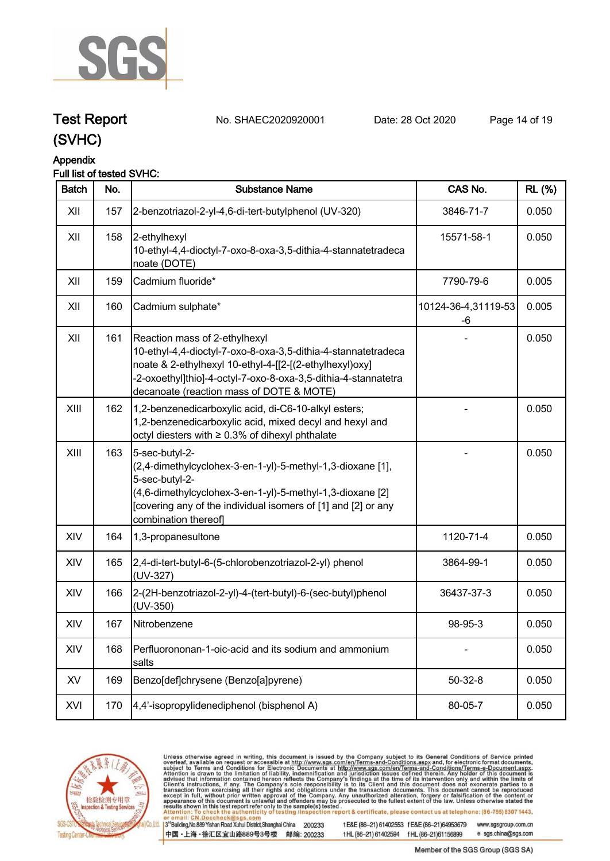

## **Test Report. No. SHAEC2020920001 Date: 28 Oct 2020. Page 14 of 19.**

**(SVHC)**

### **Appendix**

### **Full list of tested SVHC:**

| <b>Batch</b> | No. | <b>Substance Name</b>                                                                                                                                                                                                                                                   | CAS No.                   | <b>RL</b> (%) |
|--------------|-----|-------------------------------------------------------------------------------------------------------------------------------------------------------------------------------------------------------------------------------------------------------------------------|---------------------------|---------------|
| XII          | 157 | 2-benzotriazol-2-yl-4,6-di-tert-butylphenol (UV-320)                                                                                                                                                                                                                    | 3846-71-7                 | 0.050         |
| XII          | 158 | 2-ethylhexyl<br>10-ethyl-4,4-dioctyl-7-oxo-8-oxa-3,5-dithia-4-stannatetradeca<br>noate (DOTE)                                                                                                                                                                           | 15571-58-1                | 0.050         |
| XII          | 159 | Cadmium fluoride*                                                                                                                                                                                                                                                       | 7790-79-6                 | 0.005         |
| XII          | 160 | Cadmium sulphate*                                                                                                                                                                                                                                                       | 10124-36-4,31119-53<br>-6 | 0.005         |
| XII          | 161 | Reaction mass of 2-ethylhexyl<br>10-ethyl-4,4-dioctyl-7-oxo-8-oxa-3,5-dithia-4-stannatetradeca<br>noate & 2-ethylhexyl 10-ethyl-4-[[2-[(2-ethylhexyl)oxy]<br>-2-oxoethyl]thio]-4-octyl-7-oxo-8-oxa-3,5-dithia-4-stannatetra<br>decanoate (reaction mass of DOTE & MOTE) |                           | 0.050         |
| XIII         | 162 | 1,2-benzenedicarboxylic acid, di-C6-10-alkyl esters;<br>1,2-benzenedicarboxylic acid, mixed decyl and hexyl and<br>octyl diesters with ≥ 0.3% of dihexyl phthalate                                                                                                      |                           | 0.050         |
| XIII         | 163 | 5-sec-butyl-2-<br>(2,4-dimethylcyclohex-3-en-1-yl)-5-methyl-1,3-dioxane [1],<br>5-sec-butyl-2-<br>(4,6-dimethylcyclohex-3-en-1-yl)-5-methyl-1,3-dioxane [2]<br>[covering any of the individual isomers of [1] and [2] or any<br>combination thereof]                    |                           | 0.050         |
| XIV          | 164 | 1,3-propanesultone                                                                                                                                                                                                                                                      | 1120-71-4                 | 0.050         |
| XIV          | 165 | 2,4-di-tert-butyl-6-(5-chlorobenzotriazol-2-yl) phenol<br>(UV-327)                                                                                                                                                                                                      | 3864-99-1                 | 0.050         |
| XIV          | 166 | 2-(2H-benzotriazol-2-yl)-4-(tert-butyl)-6-(sec-butyl)phenol<br>(UV-350)                                                                                                                                                                                                 | 36437-37-3                | 0.050         |
| XIV          | 167 | Nitrobenzene                                                                                                                                                                                                                                                            | 98-95-3                   | 0.050         |
| XIV          | 168 | Perfluorononan-1-oic-acid and its sodium and ammonium<br>salts                                                                                                                                                                                                          |                           | 0.050         |
| XV           | 169 | Benzo[def]chrysene (Benzo[a]pyrene)                                                                                                                                                                                                                                     | $50 - 32 - 8$             | 0.050         |
| XVI          | 170 | 4,4'-isopropylidenediphenol (bisphenol A)                                                                                                                                                                                                                               | 80-05-7                   | 0.050         |



Unless otherwise agreed in writing, this document is issued by the Company subject to its General Conditions of Service printed overleaf, available on request or accessible at http://www.sgs.com/en/Terms-and-Conditions.asp

3<sup>te</sup>Building, No.889 Yishan Road Xuhui District, Shanghai China 200233 中国·上海·徐汇区宜山路889号3号楼 邮编: 200233

tE&E (86-21) 61402553 fE&E (86-21)64953679 www.sgsgroup.com.cn

e sgs.china@sgs.com

tHL (86-21) 61402594 fHL (86-21)61156899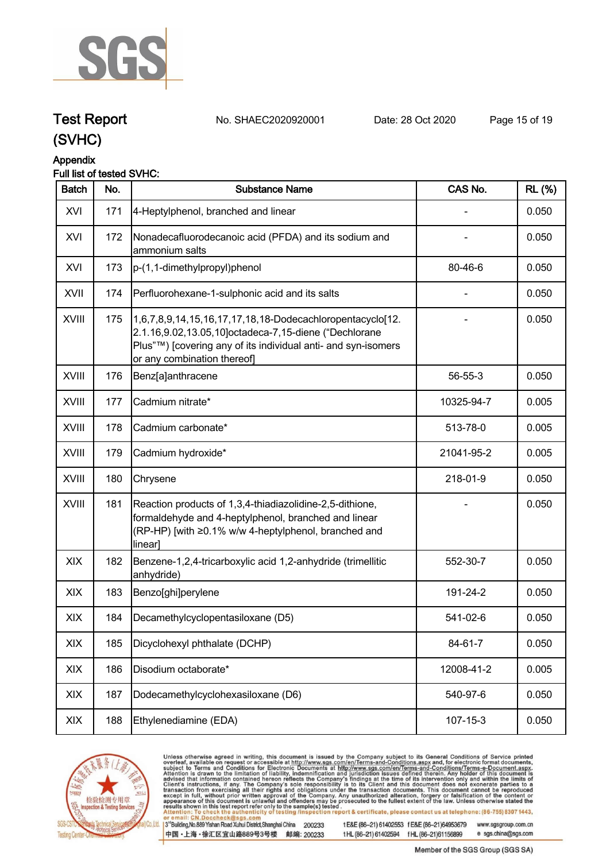

#### **Appendix**

#### **Full list of tested SVHC:**

| <b>Batch</b> | No. | <b>Substance Name</b>                                                                                                                                                                                             | CAS No.    | <b>RL</b> (%) |
|--------------|-----|-------------------------------------------------------------------------------------------------------------------------------------------------------------------------------------------------------------------|------------|---------------|
| XVI          | 171 | 4-Heptylphenol, branched and linear                                                                                                                                                                               |            | 0.050         |
| XVI          | 172 | Nonadecafluorodecanoic acid (PFDA) and its sodium and<br>ammonium salts                                                                                                                                           |            | 0.050         |
| XVI          | 173 | p-(1,1-dimethylpropyl)phenol                                                                                                                                                                                      | 80-46-6    | 0.050         |
| XVII         | 174 | Perfluorohexane-1-sulphonic acid and its salts                                                                                                                                                                    |            | 0.050         |
| XVIII        | 175 | 1,6,7,8,9,14,15,16,17,17,18,18-Dodecachloropentacyclo[12.<br>2.1.16,9.02,13.05,10]octadeca-7,15-diene ("Dechlorane<br>Plus"™) [covering any of its individual anti- and syn-isomers<br>or any combination thereof |            | 0.050         |
| <b>XVIII</b> | 176 | Benz[a]anthracene                                                                                                                                                                                                 | 56-55-3    | 0.050         |
| <b>XVIII</b> | 177 | Cadmium nitrate*                                                                                                                                                                                                  | 10325-94-7 | 0.005         |
| <b>XVIII</b> | 178 | Cadmium carbonate*                                                                                                                                                                                                | 513-78-0   | 0.005         |
| <b>XVIII</b> | 179 | Cadmium hydroxide*                                                                                                                                                                                                | 21041-95-2 | 0.005         |
| XVIII        | 180 | Chrysene                                                                                                                                                                                                          | 218-01-9   | 0.050         |
| <b>XVIII</b> | 181 | Reaction products of 1,3,4-thiadiazolidine-2,5-dithione,<br>formaldehyde and 4-heptylphenol, branched and linear<br>(RP-HP) [with ≥0.1% w/w 4-heptylphenol, branched and<br>linear]                               |            | 0.050         |
| XIX          | 182 | Benzene-1,2,4-tricarboxylic acid 1,2-anhydride (trimellitic<br>anhydride)                                                                                                                                         | 552-30-7   | 0.050         |
| XIX          | 183 | Benzo[ghi]perylene                                                                                                                                                                                                | 191-24-2   | 0.050         |
| XIX          | 184 | Decamethylcyclopentasiloxane (D5)                                                                                                                                                                                 | 541-02-6   | 0.050         |
| XIX          | 185 | Dicyclohexyl phthalate (DCHP)                                                                                                                                                                                     | 84-61-7    | 0.050         |
| XIX          | 186 | Disodium octaborate*                                                                                                                                                                                              | 12008-41-2 | 0.005         |
| XIX          | 187 | Dodecamethylcyclohexasiloxane (D6)                                                                                                                                                                                | 540-97-6   | 0.050         |
| XIX          | 188 | Ethylenediamine (EDA)                                                                                                                                                                                             | 107-15-3   | 0.050         |



Unless otherwise agreed in writing, this document is issued by the Company subject to its General Conditions of Service printed overleaf, available on request or accessible at http://www.sgs.com/en/Terms-and-Conditions.asp

3<sup>te</sup>Building, No.889 Yishan Road Xuhui District, Shanghai China 200233 中国·上海·徐汇区宜山路889号3号楼 邮编: 200233

tE&E (86-21) 61402553 fE&E (86-21)64953679 www.sgsgroup.com.cn tHL (86-21) 61402594 fHL (86-21)61156899 e sgs.china@sgs.com

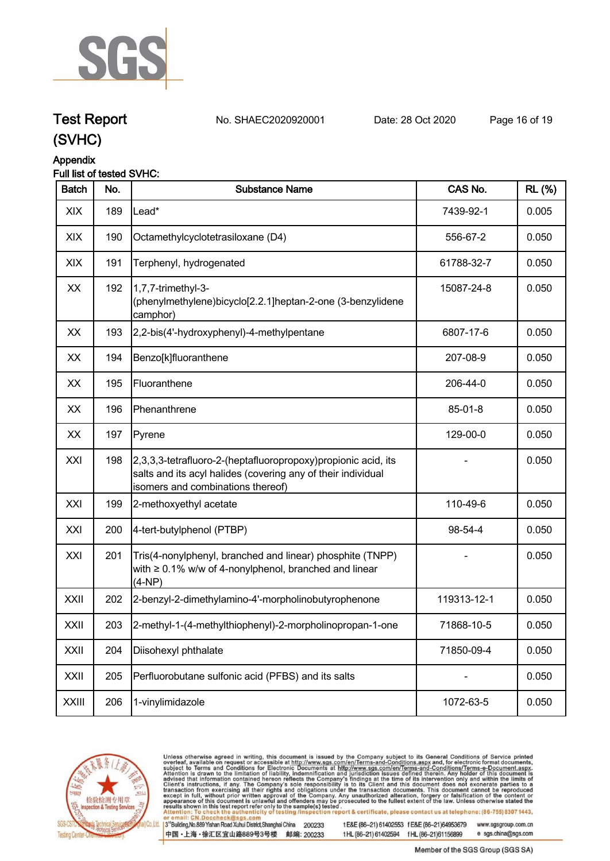

## **Test Report. No. SHAEC2020920001 Date: 28 Oct 2020. Page 16 of 19.**

**(SVHC)**

### **Appendix**

#### **Full list of tested SVHC:**

| <b>Batch</b> | No. | <b>Substance Name</b>                                                                                                                                               | CAS No.     | <b>RL (%)</b> |
|--------------|-----|---------------------------------------------------------------------------------------------------------------------------------------------------------------------|-------------|---------------|
| XIX          | 189 | Lead*                                                                                                                                                               | 7439-92-1   | 0.005         |
| XIX          | 190 | Octamethylcyclotetrasiloxane (D4)                                                                                                                                   | 556-67-2    | 0.050         |
| XIX          | 191 | Terphenyl, hydrogenated                                                                                                                                             | 61788-32-7  | 0.050         |
| XX           | 192 | 1,7,7-trimethyl-3-<br>(phenylmethylene)bicyclo[2.2.1]heptan-2-one (3-benzylidene<br>camphor)                                                                        | 15087-24-8  | 0.050         |
| XX           | 193 | 2,2-bis(4'-hydroxyphenyl)-4-methylpentane                                                                                                                           | 6807-17-6   | 0.050         |
| XX           | 194 | Benzo[k]fluoranthene                                                                                                                                                | 207-08-9    | 0.050         |
| XX           | 195 | Fluoranthene                                                                                                                                                        | 206-44-0    | 0.050         |
| XX           | 196 | Phenanthrene                                                                                                                                                        | 85-01-8     | 0.050         |
| XX           | 197 | Pyrene                                                                                                                                                              | 129-00-0    | 0.050         |
| XXI          | 198 | 2,3,3,3-tetrafluoro-2-(heptafluoropropoxy) propionic acid, its<br>salts and its acyl halides (covering any of their individual<br>isomers and combinations thereof) |             | 0.050         |
| XXI          | 199 | 2-methoxyethyl acetate                                                                                                                                              | 110-49-6    | 0.050         |
| XXI          | 200 | 4-tert-butylphenol (PTBP)                                                                                                                                           | 98-54-4     | 0.050         |
| XXI          | 201 | Tris(4-nonylphenyl, branched and linear) phosphite (TNPP)<br>with $\geq 0.1\%$ w/w of 4-nonylphenol, branched and linear<br>$(4-NP)$                                |             | 0.050         |
| XXII         | 202 | 2-benzyl-2-dimethylamino-4'-morpholinobutyrophenone                                                                                                                 | 119313-12-1 | 0.050         |
| XXII         | 203 | 2-methyl-1-(4-methylthiophenyl)-2-morpholinopropan-1-one                                                                                                            | 71868-10-5  | 0.050         |
| XXII         | 204 | Diisohexyl phthalate                                                                                                                                                | 71850-09-4  | 0.050         |
| XXII         | 205 | Perfluorobutane sulfonic acid (PFBS) and its salts                                                                                                                  |             | 0.050         |
| <b>XXIII</b> | 206 | 1-vinylimidazole                                                                                                                                                    | 1072-63-5   | 0.050         |



Unless otherwise agreed in writing, this document is issued by the Company subject to its General Conditions of Service printed overleaf, available on request or accessible at http://www.sgs.com/en/Terms-and-Conditions.asp

3<sup>te</sup>Building, No.889 Yishan Road Xuhui District, Shanghai China 200233 中国·上海·徐汇区宜山路889号3号楼 邮编: 200233

tE&E (86-21) 61402553 fE&E (86-21)64953679 www.sgsgroup.com.cn tHL (86-21) 61402594 fHL (86-21)61156899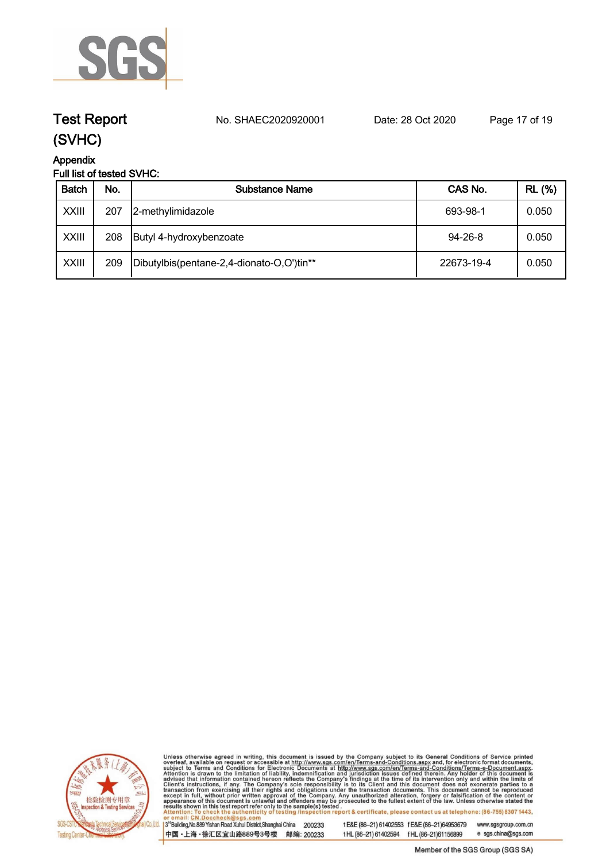

**Test Report. No. SHAEC2020920001 Date: 28 Oct 2020. Page 17 of 19.**

# **Appendix**

### **Full list of tested SVHC:**

| <b>Batch</b> | No. | <b>Substance Name</b>                     | CAS No.       | <b>RL (%)</b> |
|--------------|-----|-------------------------------------------|---------------|---------------|
| <b>XXIII</b> | 207 | 2-methylimidazole                         | 693-98-1      | 0.050         |
| <b>XXIII</b> | 208 | Butyl 4-hydroxybenzoate                   | $94 - 26 - 8$ | 0.050         |
| <b>XXIII</b> | 209 | Dibutylbis(pentane-2,4-dionato-O,O')tin** | 22673-19-4    | 0.050         |



Unless otherwise agreed in writing, this document is issued by the Company subject to its General Conditions of Service printed overleaf, available on request or accessible at http://www.sgs.com/en/Terms-and-Conditions.asp

3<sup>te</sup>Building, No.889 Yishan Road Xuhui District, Shanghai China 200233 中国·上海·徐汇区宜山路889号3号楼 邮编: 200233

tE&E (86-21) 61402553 fE&E (86-21)64953679 www.sgsgroup.com.cn tHL (86-21) 61402594 fHL (86-21)61156899 e sgs.china@sgs.com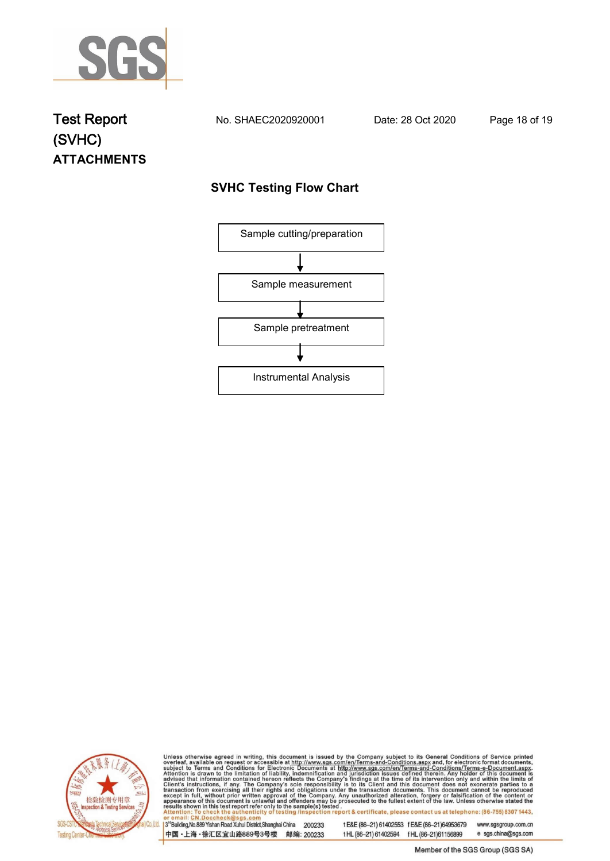

### **Test Report. No. SHAEC2020920001 Date: 28 Oct 2020. Page 18 of 19. (SVHC) ATTACHMENTS**

### **SVHC Testing Flow Chart**





Unless otherwise agreed in writing, this document is issued by the Company subject to its General Conditions of Service printed overleaf, available on request or accessible at http://www.sgs.com/en/Terms-and-Conditions.asp

3<sup>rd</sup>Building, No.889 Yishan Road Xuhui District, Shanghai China 200233 中国·上海·徐汇区宜山路889号3号楼 邮编: 200233

tE&E (86-21) 61402553 fE&E (86-21)64953679 www.sgsgroup.com.cn

e sgs.china@sgs.com t HL (86-21) 61402594 f HL (86-21) 61156899